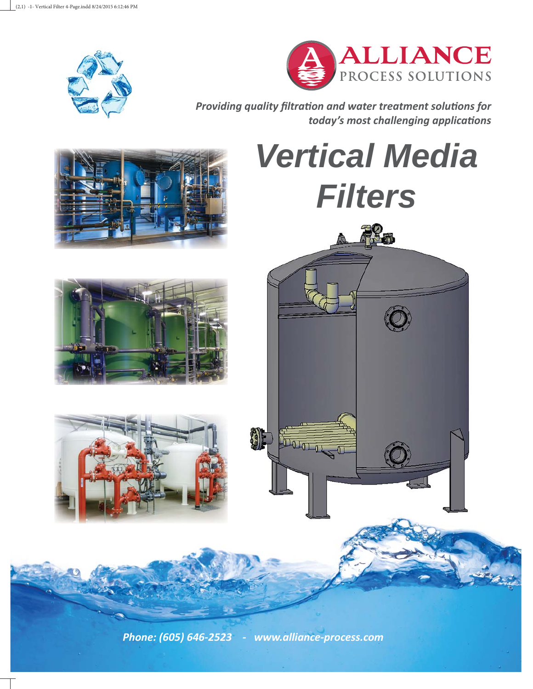



**Providing quality filtration and water treatment solutions for** *today's most challenging applicaƟ ons*

*Vertical Media Filters* **Post** 

*Phone: (605) 646-2523 - www.alliance-process.com*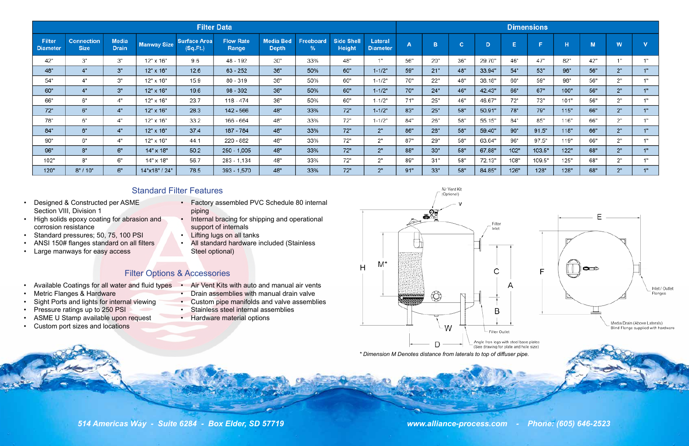

- Designed & Constructed per ASME Section VIII, Division 1
- High solids epoxy coating for abrasion and corrosion resistance
- Standard pressures; 50, 75, 100 PSI
- ANSI 150# flanges standard on all filters
- Large manways for easy access

*514 Americas Way - Suite 6284 - Box Elder, SD 57719 www.alliance-process.com - Phone: (605) 646-2523*

Air Vent Kit (Optional)



- Available Coatings for all water and fluid types •
- Metric Flanges & Hardware
- Sight Ports and lights for internal viewing
- Pressure ratings up to 250 PSI
- ASME U Stamp available upon request
- Custom port sizes and locations
- Factory assembled PVC Schedule 80 internal piping
- Internal bracing for shipping and operational support of internals
- Lifting lugs on all tanks
- All standard hardware included (Stainless Steel optional)

- Air Vent Kits with auto and manual air vents
- Drain assemblies with manual drain valve
- Custom pipe manifolds and valve assemblies
- Stainless steel internal assemblies
- Hardware material options



| <b>Filter Data</b>               |                                  |                              |                    |                                 |                           |                                  |                       |                                    |                                   |     |     |     |        |
|----------------------------------|----------------------------------|------------------------------|--------------------|---------------------------------|---------------------------|----------------------------------|-----------------------|------------------------------------|-----------------------------------|-----|-----|-----|--------|
| <b>Filter</b><br><b>Diameter</b> | <b>Connection</b><br><b>Size</b> | <b>Media</b><br><b>Drain</b> | <b>Manway Size</b> | <b>Surface Area</b><br>(Sq.Ft.) | <b>Flow Rate</b><br>Range | <b>Media Bed</b><br><b>Depth</b> | <b>Freeboard</b><br>% | <b>Side Shell</b><br><b>Height</b> | <b>Lateral</b><br><b>Diameter</b> | A   | в   | c   | D      |
| 42"                              | 3"                               | 3"                           | 12" x 16"          | 9.6                             | 48 - 192                  | 30"                              | 33%                   | 48"                                | 1"                                | 56" | 20" | 36" | 29.70" |
| 48"                              | 4"                               | 3"                           | 12" x 16"          | 12.6                            | $63 - 252$                | 36"                              | 50%                   | 60"                                | $1 - 1/2"$                        | 59" | 21" | 48" | 33.94" |
| 54"                              | 4"                               | 3"                           | 12" x 16"          | 15.9                            | 80 - 319                  | 36"                              | 50%                   | 60"                                | $1 - 1/2"$                        | 70" | 22" | 48" | 38.18" |
| 60"                              | 4"                               | 3"                           | 12" x 16"          | 19.6                            | $98 - 392$                | 36"                              | 50%                   | 60"                                | $1 - 1/2"$                        | 70" | 24" | 46" | 42.43" |
| 66"                              | 6"                               | 4"                           | 12" x 16"          | 23.7                            | 118 - 474                 | 36"                              | 50%                   | 60"                                | $1 - 1/2"$                        | 71" | 25" | 46" | 46.67" |
| 72"                              | 6"                               | 4"                           | 12" x 16"          | 28.3                            | 142 - 566                 | 48"                              | 33%                   | 72"                                | $1 - 1/2"$                        | 83" | 25" | 58" | 50.91" |
| 78"                              | 6"                               | 4"                           | 12" x 16"          | 33.2                            | 166 - 664                 | 48"                              | 33%                   | 72"                                | $1 - 1/2"$                        | 84" | 26" | 58" | 55.15" |
| 84"                              | 6"                               | 4"                           | 12" x 16"          | 37.4                            | 187 - 784                 | 48"                              | 33%                   | 72"                                | 2"                                | 86" | 28" | 58" | 59.40" |
| 90"                              | 6"                               | 4"                           | 12" x 16"          | 44.1                            | 220 - 882                 | 48"                              | 33%                   | 72"                                | 2"                                | 87" | 29" | 58" | 63.64" |
| 96"                              | 8"                               | 6"                           | 14" x 18"          | 50.2                            | $250 - 1,005$             | 48"                              | 33%                   | 72"                                | 2"                                | 88" | 30" | 58" | 67.88" |
| 102"                             | 8"                               | 6"                           | 14" x 18"          | 56.7                            | 283 - 1,134               | 48"                              | 33%                   | 72"                                | 2"                                | 89" | 31" | 58" | 72.13" |
| 120"                             | 8" / 10"                         | 6"                           | 14"x18" / 24"      | 78.5                            | 393 - 1,570               | 48"                              | 33%                   | 72"                                | 2"                                | 91" | 33" | 58" | 84.85" |

# Standard Filter Features

# Filter Options & Accessories